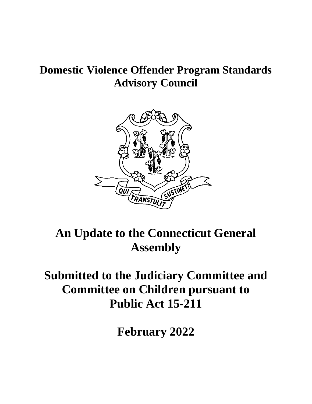## **Domestic Violence Offender Program Standards Advisory Council**



## **An Update to the Connecticut General Assembly**

## **Submitted to the Judiciary Committee and Committee on Children pursuant to Public Act 15-211**

**February 2022**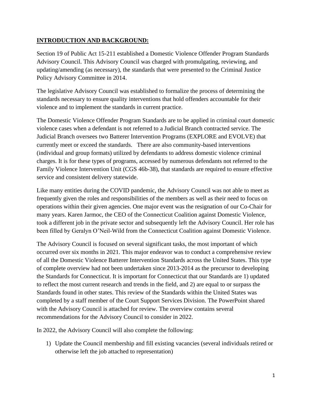## **INTRODUCTION AND BACKGROUND:**

Section 19 of Public Act 15-211 established a Domestic Violence Offender Program Standards Advisory Council. This Advisory Council was charged with promulgating, reviewing, and updating/amending (as necessary), the standards that were presented to the Criminal Justice Policy Advisory Committee in 2014.

The legislative Advisory Council was established to formalize the process of determining the standards necessary to ensure quality interventions that hold offenders accountable for their violence and to implement the standards in current practice.

The Domestic Violence Offender Program Standards are to be applied in criminal court domestic violence cases when a defendant is not referred to a Judicial Branch contracted service. The Judicial Branch oversees two Batterer Intervention Programs (EXPLORE and EVOLVE) that currently meet or exceed the standards. There are also community-based interventions (individual and group formats) utilized by defendants to address domestic violence criminal charges. It is for these types of programs, accessed by numerous defendants not referred to the Family Violence Intervention Unit (CGS 46b-38), that standards are required to ensure effective service and consistent delivery statewide.

Like many entities during the COVID pandemic, the Advisory Council was not able to meet as frequently given the roles and responsibilities of the members as well as their need to focus on operations within their given agencies. One major event was the resignation of our Co-Chair for many years. Karen Jarmoc, the CEO of the Connecticut Coalition against Domestic Violence, took a different job in the private sector and subsequently left the Advisory Council. Her role has been filled by Geralyn O'Neil-Wild from the Connecticut Coalition against Domestic Violence.

The Advisory Council is focused on several significant tasks, the most important of which occurred over six months in 2021. This major endeavor was to conduct a comprehensive review of all the Domestic Violence Batterer Intervention Standards across the United States. This type of complete overview had not been undertaken since 2013-2014 as the precursor to developing the Standards for Connecticut. It is important for Connecticut that our Standards are 1) updated to reflect the most current research and trends in the field, and 2) are equal to or surpass the Standards found in other states. This review of the Standards within the United States was completed by a staff member of the Court Support Services Division. The PowerPoint shared with the Advisory Council is attached for review. The overview contains several recommendations for the Advisory Council to consider in 2022.

In 2022, the Advisory Council will also complete the following:

1) Update the Council membership and fill existing vacancies (several individuals retired or otherwise left the job attached to representation)